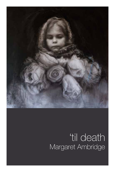

## 'til death Margaret Ambridge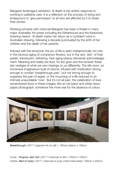Margaret Ambridge's exhibition *'til death* is her artistic response to working in palliative care. It is a reflection on the process of dying and endeavours to 'give permission' to all who are affected by it to share their stories.

Working primarily with charcoal Margaret has been a finalist in many major Australian Art prizes including the *Waterhouse* and the *Kedumba Drawing Award*. *'til death* marks her return as a confident voice in Australian drawing, following a decade punctuated by the birth of her children and the death of her parents.

Imbued with the temporal, the arc of life is seen metaphorically not only in the obvious aging of companion flowers, but in the very 'skin' of their petals; translucent, withering, their aging beauty demands acknowledgement. Meaning and reality are fluid, for the giver and the receiver these last vestiges of what we own impinge on us differently. The silk room, an immersive imaginarium built of visions; infused with medication strong enough to contain 'breakthrough pain', but not strong enough to suppress the pain of regret, or the mourning of a life reduced to an intimate unavoidable 'now'. But it's not all pain, the celebration of lives remembered flows in these images, like an old black and white newspaper photograph, somehow the more real for the absence of colour.



*Breakthrough* | 2017 | pigment ink on silk | ~350cm (diam.) x 160cm

Cover *Hospice−last visit* | 2017 | charcoal on film | 105cm x 105cm Centre *Bed of roses* | 2017 | charcoal on poly-cotton bed sheet | 180cm x 255cm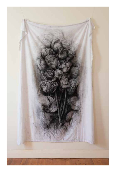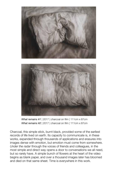



*What remains #1* | 2017 | charcoal on film | 111cm x 87cm *What remains #2* | 2017 | charcoal on film | 111cm x 87cm

Charcoal, this simple stick, burnt black, provided some of the earliest records of life lived on earth. Its capacity to communicate is, in these works, expanded through thousands of applications and erasures into images dense with emotion, but emotion must come from somewhere. *Under the radar* through the voices of friends and colleagues, in the most simple and direct way opens a door to conversations we all need, but so rarely have. A simple bunch of flowers at the heart of the video begins as blank paper, and over a thousand images later has bloomed and died on that same sheet. Time is everywhere in this work.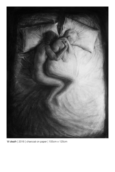

*'til death* | 2016 | charcoal on paper | 105cm x 125cm